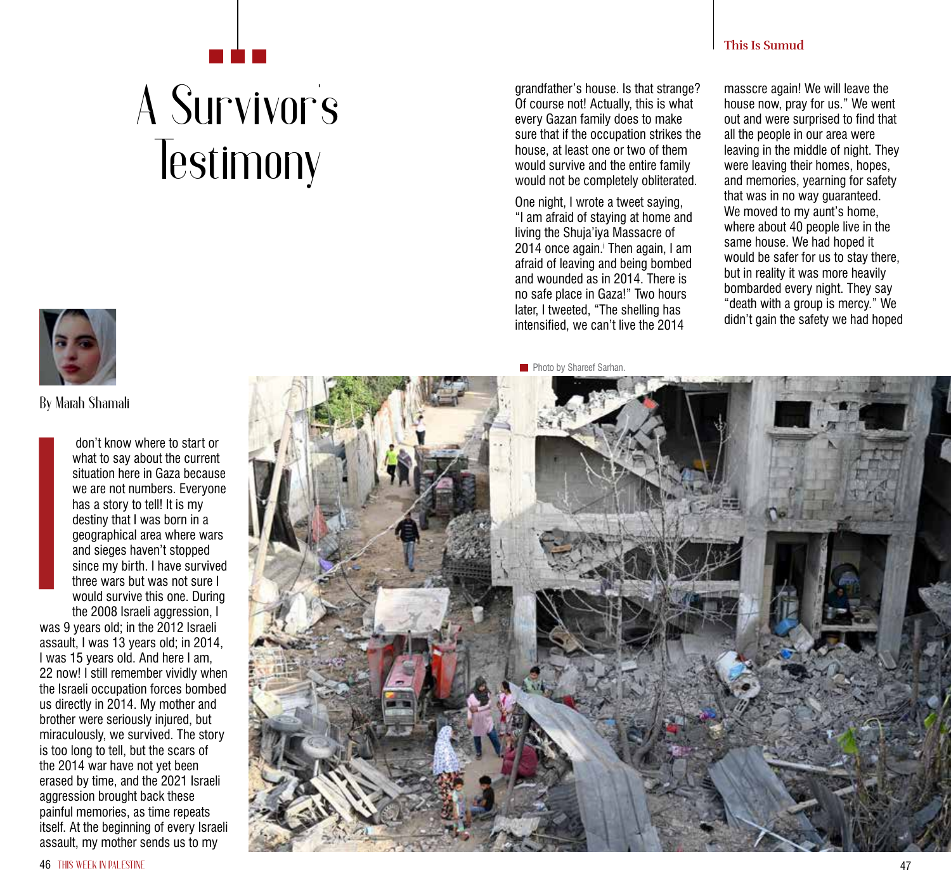## **This Is Sumud**

## A Survivor **'**s **Testimony**

grandfather's house. Is that strange? Of course not! Actually, this is what every Gazan family does to make sure that if the occupation strikes the house, at least one or two of them would survive and the entire family would not be completely obliterated.

One night, I wrote a tweet saying, "I am afraid of staying at home and living the Shuja'iya Massacre of 2014 once again. Then again, I am i afraid of leaving and being bombed and wounded as in 2014. There is no safe place in Gaza!" Two hours later, I tweeted, "The shelling has intensified, we can't live the 2014

masscre again! We will leave the house now, pray for us." We went out and were surprised to find that all the people in our area were leaving in the middle of night. They were leaving their homes, hopes, and memories, yearning for safety that was in no way guaranteed. We moved to my aunt's home. where about 40 people live in the same house. We had hoped it would be safer for us to stay there, but in reality it was more heavily bombarded every night. They say "death with a group is mercy." We didn't gain the safety we had hoped



**By Marah Shamali**

 don't know where to start or what to say about the current situation here in Gaza because we are not numbers. Everyone has a story to tell! It is my destiny that I was born in a geographical area where wars and sieges haven't stopped since my birth. I have survived three wars but was not sure I would survive this one. During the 2008 Israeli aggression, I

was 9 years old; in the 2012 Israeli assault, I was 13 years old; in 2014, I was 15 years old. And here I am, 22 now! I still remember vividly when the Israeli occupation forces bombed us directly in 2014. My mother and brother were seriously injured, but miraculously, we survived. The story is too long to tell, but the scars of the 2014 war have not yet been erased by time, and the 2021 Israeli aggression brought back these painful memories, as time repeats itself. At the beginning of every Israeli don't know where to start or<br>what to say about the current<br>situation here in Gaza becaus<br>we are not numbers. Everyon<br>has a story to tell! It is my<br>destiny that I was born in a<br>geographical area where wars<br>and sieges haven'